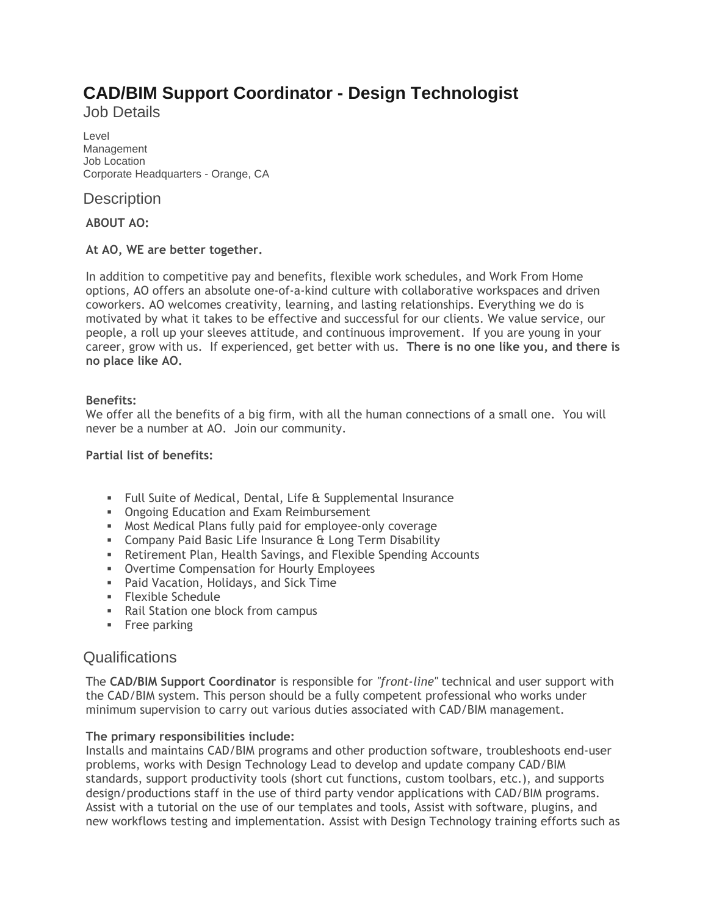# **CAD/BIM Support Coordinator - Design Technologist**

Job Details

Level Management Job Location Corporate Headquarters - Orange, CA

**Description** 

**ABOUT AO:**

# **At AO, WE are better together.**

In addition to competitive pay and benefits, flexible work schedules, and Work From Home options, AO offers an absolute one-of-a-kind culture with collaborative workspaces and driven coworkers. AO welcomes creativity, learning, and lasting relationships. Everything we do is motivated by what it takes to be effective and successful for our clients. We value service, our people, a roll up your sleeves attitude, and continuous improvement. If you are young in your career, grow with us. If experienced, get better with us. **There is no one like you, and there is no place like AO.**

# **Benefits:**

We offer all the benefits of a big firm, with all the human connections of a small one. You will never be a number at AO. Join our community.

### **Partial list of benefits:**

- Full Suite of Medical, Dental, Life & Supplemental Insurance
- **Ongoing Education and Exam Reimbursement**
- **EXED Most Medical Plans fully paid for employee-only coverage**
- **EXEDENT Company Paid Basic Life Insurance & Long Term Disability**
- **EXECT:** Retirement Plan, Health Savings, and Flexible Spending Accounts
- **Overtime Compensation for Hourly Employees**
- Paid Vacation, Holidays, and Sick Time
- Flexible Schedule
- Rail Station one block from campus
- **•** Free parking

# **Qualifications**

The **CAD/BIM Support Coordinator** is responsible for *"front-line"* technical and user support with the CAD/BIM system. This person should be a fully competent professional who works under minimum supervision to carry out various duties associated with CAD/BIM management.

#### **The primary responsibilities include:**

Installs and maintains CAD/BIM programs and other production software, troubleshoots end-user problems, works with Design Technology Lead to develop and update company CAD/BIM standards, support productivity tools (short cut functions, custom toolbars, etc.), and supports design/productions staff in the use of third party vendor applications with CAD/BIM programs. Assist with a tutorial on the use of our templates and tools, Assist with software, plugins, and new workflows testing and implementation. Assist with Design Technology training efforts such as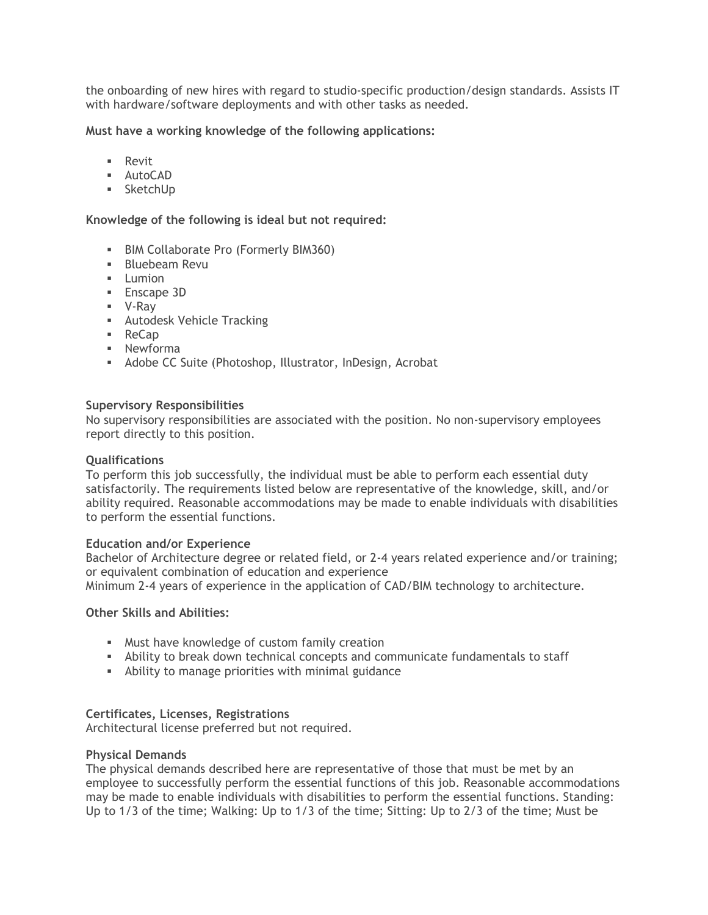the onboarding of new hires with regard to studio-specific production/design standards. Assists IT with hardware/software deployments and with other tasks as needed.

#### **Must have a working knowledge of the following applications:**

- Revit
- AutoCAD
- SketchUp

#### **Knowledge of the following is ideal but not required:**

- BIM Collaborate Pro (Formerly BIM360)
- **E** Bluebeam Revu
- **■** Lumion
- Enscape 3D
- V-Ray
- Autodesk Vehicle Tracking
- ReCap
- Newforma
- Adobe CC Suite (Photoshop, Illustrator, InDesign, Acrobat

#### **Supervisory Responsibilities**

No supervisory responsibilities are associated with the position. No non-supervisory employees report directly to this position.

#### **Qualifications**

To perform this job successfully, the individual must be able to perform each essential duty satisfactorily. The requirements listed below are representative of the knowledge, skill, and/or ability required. Reasonable accommodations may be made to enable individuals with disabilities to perform the essential functions.

#### **Education and/or Experience**

Bachelor of Architecture degree or related field, or 2-4 years related experience and/or training; or equivalent combination of education and experience

Minimum 2-4 years of experience in the application of CAD/BIM technology to architecture.

#### **Other Skills and Abilities:**

- Must have knowledge of custom family creation
- **EXECT** Ability to break down technical concepts and communicate fundamentals to staff
- **EXECUTE:** Ability to manage priorities with minimal guidance

#### **Certificates, Licenses, Registrations**

Architectural license preferred but not required.

#### **Physical Demands**

The physical demands described here are representative of those that must be met by an employee to successfully perform the essential functions of this job. Reasonable accommodations may be made to enable individuals with disabilities to perform the essential functions. Standing: Up to 1/3 of the time; Walking: Up to 1/3 of the time; Sitting: Up to 2/3 of the time; Must be